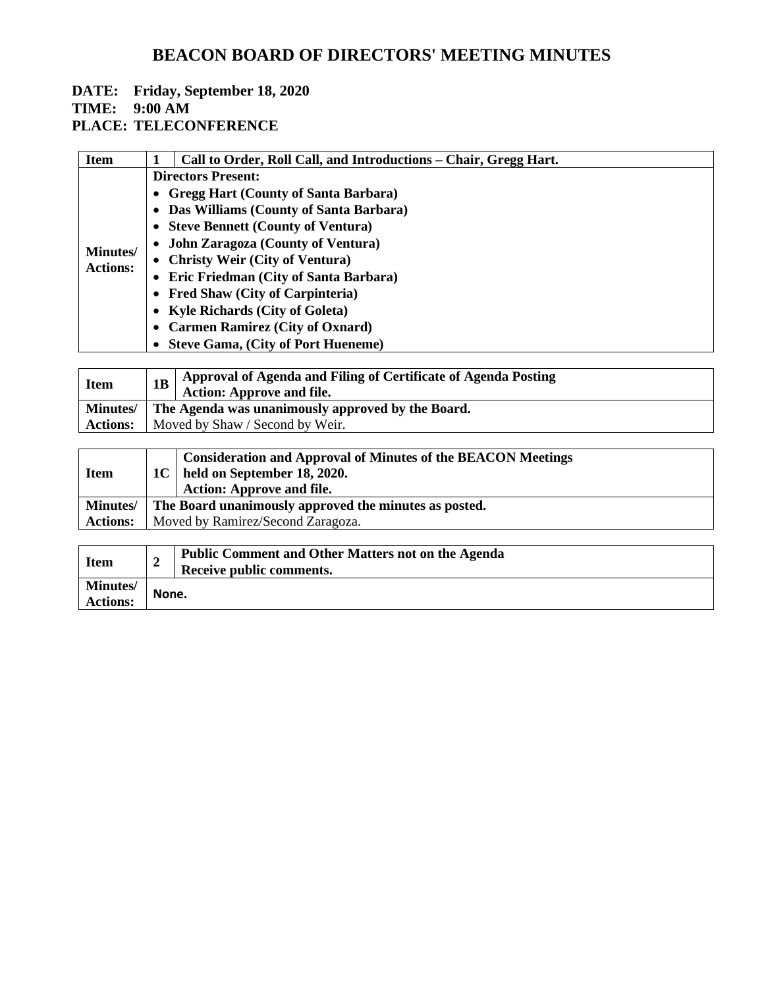## **DATE: Friday, September 18, 2020**

## **TIME: 9:00 AM**

## **PLACE: TELECONFERENCE**

| <b>Item</b>      | Call to Order, Roll Call, and Introductions – Chair, Gregg Hart. |  |  |
|------------------|------------------------------------------------------------------|--|--|
|                  | <b>Directors Present:</b>                                        |  |  |
|                  | • Gregg Hart (County of Santa Barbara)                           |  |  |
|                  | • Das Williams (County of Santa Barbara)                         |  |  |
|                  | • Steve Bennett (County of Ventura)                              |  |  |
|                  | • John Zaragoza (County of Ventura)                              |  |  |
| <b>Minutes</b> / | • Christy Weir (City of Ventura)                                 |  |  |
| <b>Actions:</b>  | • Eric Friedman (City of Santa Barbara)                          |  |  |
|                  | • Fred Shaw (City of Carpinteria)                                |  |  |
|                  | • Kyle Richards (City of Goleta)                                 |  |  |
|                  | • Carmen Ramirez (City of Oxnard)                                |  |  |
|                  | • Steve Gama, (City of Port Hueneme)                             |  |  |

| <b>Item</b> | Approval of Agenda and Filing of Certificate of Agenda Posting<br><b>Action: Approve and file.</b> |  |
|-------------|----------------------------------------------------------------------------------------------------|--|
|             | Minutes/ The Agenda was unanimously approved by the Board.                                         |  |
|             | <b>Actions:</b>   Moved by Shaw / Second by Weir.                                                  |  |

| <b>Item</b>     | <b>Consideration and Approval of Minutes of the BEACON Meetings</b><br>$\vert$ 1C $\vert$ held on September 18, 2020.<br><b>Action: Approve and file.</b> |
|-----------------|-----------------------------------------------------------------------------------------------------------------------------------------------------------|
| <b>Minutes/</b> | The Board unanimously approved the minutes as posted.                                                                                                     |
| <b>Actions:</b> | Moved by Ramirez/Second Zaragoza.                                                                                                                         |
|                 |                                                                                                                                                           |

| <b>Item</b>                        |       | <b>Public Comment and Other Matters not on the Agenda</b><br>Receive public comments. |
|------------------------------------|-------|---------------------------------------------------------------------------------------|
| <b>Minutes/</b><br><b>Actions:</b> | None. |                                                                                       |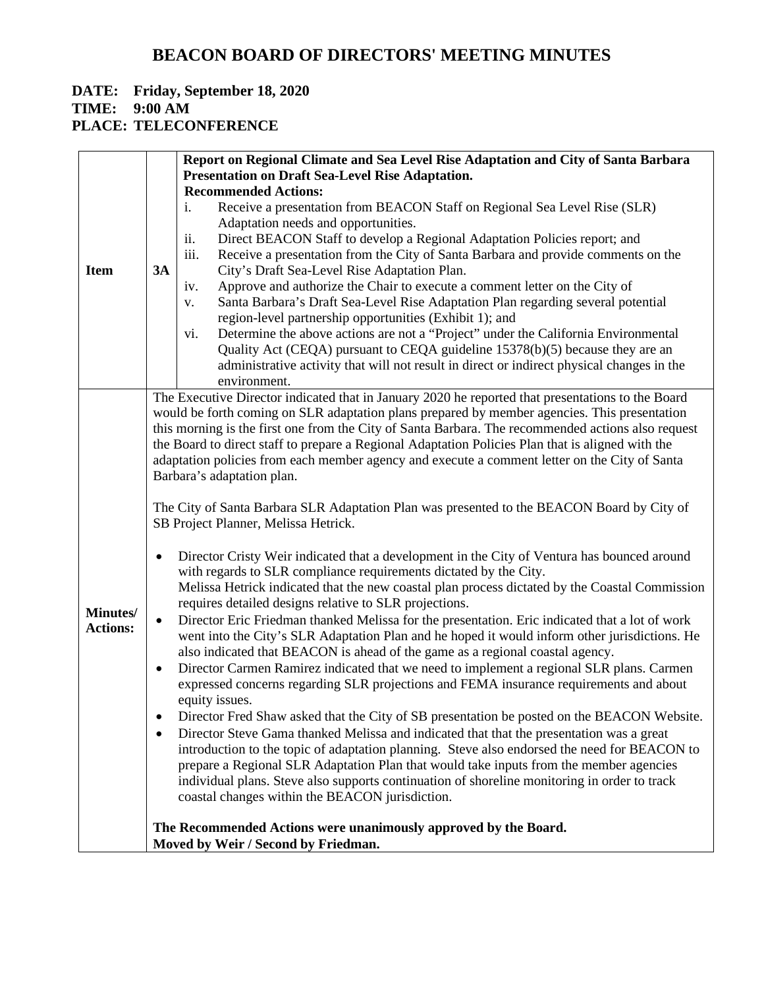# **DATE: Friday, September 18, 2020**

**TIME: 9:00 AM**

#### **PLACE: TELECONFERENCE**

|                 | Report on Regional Climate and Sea Level Rise Adaptation and City of Santa Barbara                                                                                                                 |  |
|-----------------|----------------------------------------------------------------------------------------------------------------------------------------------------------------------------------------------------|--|
|                 | <b>Presentation on Draft Sea-Level Rise Adaptation.</b>                                                                                                                                            |  |
| <b>Item</b>     | <b>Recommended Actions:</b>                                                                                                                                                                        |  |
|                 | Receive a presentation from BEACON Staff on Regional Sea Level Rise (SLR)<br>i.                                                                                                                    |  |
|                 | Adaptation needs and opportunities.                                                                                                                                                                |  |
|                 | ii.<br>Direct BEACON Staff to develop a Regional Adaptation Policies report; and                                                                                                                   |  |
|                 | iii.<br>Receive a presentation from the City of Santa Barbara and provide comments on the                                                                                                          |  |
|                 | 3A<br>City's Draft Sea-Level Rise Adaptation Plan.                                                                                                                                                 |  |
|                 | Approve and authorize the Chair to execute a comment letter on the City of<br>iv.                                                                                                                  |  |
|                 | Santa Barbara's Draft Sea-Level Rise Adaptation Plan regarding several potential<br>V.                                                                                                             |  |
|                 | region-level partnership opportunities (Exhibit 1); and                                                                                                                                            |  |
|                 | Determine the above actions are not a "Project" under the California Environmental<br>vi.                                                                                                          |  |
|                 | Quality Act (CEQA) pursuant to CEQA guideline 15378(b)(5) because they are an                                                                                                                      |  |
|                 | administrative activity that will not result in direct or indirect physical changes in the                                                                                                         |  |
|                 | environment.                                                                                                                                                                                       |  |
|                 | The Executive Director indicated that in January 2020 he reported that presentations to the Board                                                                                                  |  |
|                 | would be forth coming on SLR adaptation plans prepared by member agencies. This presentation                                                                                                       |  |
|                 | this morning is the first one from the City of Santa Barbara. The recommended actions also request                                                                                                 |  |
|                 | the Board to direct staff to prepare a Regional Adaptation Policies Plan that is aligned with the<br>adaptation policies from each member agency and execute a comment letter on the City of Santa |  |
|                 | Barbara's adaptation plan.                                                                                                                                                                         |  |
|                 |                                                                                                                                                                                                    |  |
|                 | The City of Santa Barbara SLR Adaptation Plan was presented to the BEACON Board by City of                                                                                                         |  |
|                 | SB Project Planner, Melissa Hetrick.                                                                                                                                                               |  |
|                 | Director Cristy Weir indicated that a development in the City of Ventura has bounced around                                                                                                        |  |
|                 | with regards to SLR compliance requirements dictated by the City.                                                                                                                                  |  |
|                 | Melissa Hetrick indicated that the new coastal plan process dictated by the Coastal Commission                                                                                                     |  |
| Minutes/        | requires detailed designs relative to SLR projections.                                                                                                                                             |  |
| <b>Actions:</b> | Director Eric Friedman thanked Melissa for the presentation. Eric indicated that a lot of work<br>$\bullet$                                                                                        |  |
|                 | went into the City's SLR Adaptation Plan and he hoped it would inform other jurisdictions. He                                                                                                      |  |
|                 | also indicated that BEACON is ahead of the game as a regional coastal agency.                                                                                                                      |  |
|                 | Director Carmen Ramirez indicated that we need to implement a regional SLR plans. Carmen<br>٠                                                                                                      |  |
|                 | expressed concerns regarding SLR projections and FEMA insurance requirements and about<br>equity issues.                                                                                           |  |
|                 | Director Fred Shaw asked that the City of SB presentation be posted on the BEACON Website.                                                                                                         |  |
|                 | Director Steve Gama thanked Melissa and indicated that that the presentation was a great                                                                                                           |  |
|                 | introduction to the topic of adaptation planning. Steve also endorsed the need for BEACON to                                                                                                       |  |
|                 | prepare a Regional SLR Adaptation Plan that would take inputs from the member agencies                                                                                                             |  |
|                 | individual plans. Steve also supports continuation of shoreline monitoring in order to track                                                                                                       |  |
|                 | coastal changes within the BEACON jurisdiction.                                                                                                                                                    |  |
|                 |                                                                                                                                                                                                    |  |
|                 | The Recommended Actions were unanimously approved by the Board.                                                                                                                                    |  |
|                 | Moved by Weir / Second by Friedman.                                                                                                                                                                |  |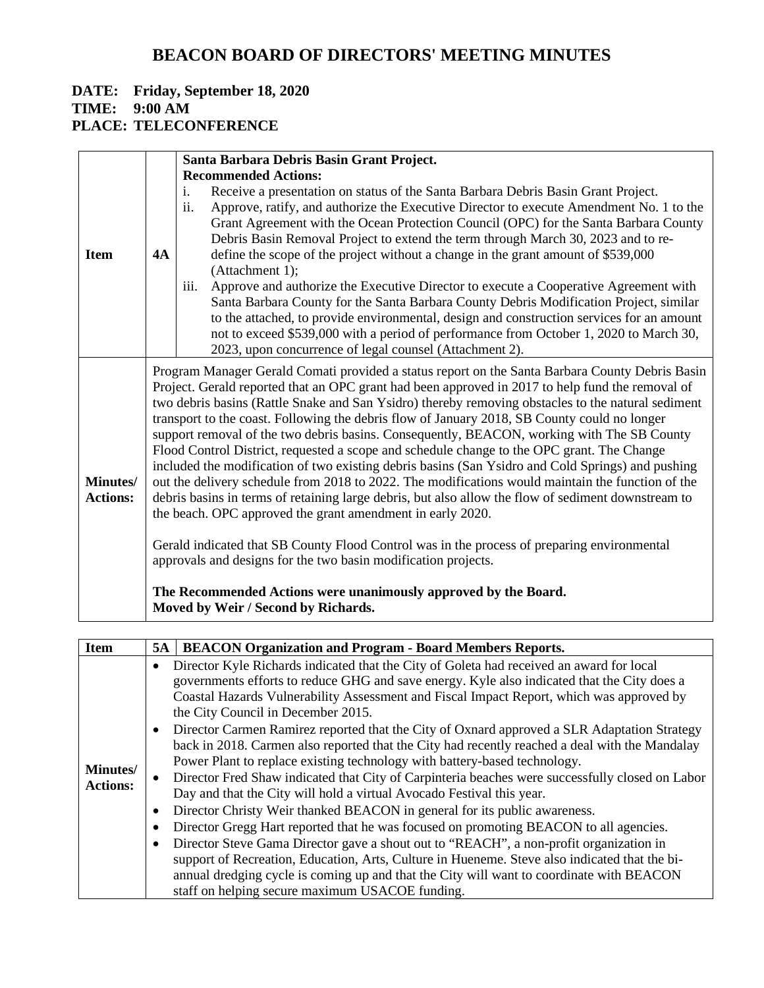#### **DATE: Friday, September 18, 2020 TIME: 9:00 AM PLACE: TELECONFERENCE**

|                 |                                                                                                   | Santa Barbara Debris Basin Grant Project.                                                                                                                                                                                                                                                                                                                                                                                                    |  |  |
|-----------------|---------------------------------------------------------------------------------------------------|----------------------------------------------------------------------------------------------------------------------------------------------------------------------------------------------------------------------------------------------------------------------------------------------------------------------------------------------------------------------------------------------------------------------------------------------|--|--|
|                 |                                                                                                   | <b>Recommended Actions:</b>                                                                                                                                                                                                                                                                                                                                                                                                                  |  |  |
|                 |                                                                                                   | Receive a presentation on status of the Santa Barbara Debris Basin Grant Project.<br>i.                                                                                                                                                                                                                                                                                                                                                      |  |  |
|                 |                                                                                                   | ii.<br>Approve, ratify, and authorize the Executive Director to execute Amendment No. 1 to the                                                                                                                                                                                                                                                                                                                                               |  |  |
|                 |                                                                                                   | Grant Agreement with the Ocean Protection Council (OPC) for the Santa Barbara County                                                                                                                                                                                                                                                                                                                                                         |  |  |
|                 |                                                                                                   | Debris Basin Removal Project to extend the term through March 30, 2023 and to re-                                                                                                                                                                                                                                                                                                                                                            |  |  |
| <b>Item</b>     | 4A                                                                                                | define the scope of the project without a change in the grant amount of \$539,000                                                                                                                                                                                                                                                                                                                                                            |  |  |
|                 |                                                                                                   | (Attachment 1);                                                                                                                                                                                                                                                                                                                                                                                                                              |  |  |
|                 |                                                                                                   | Approve and authorize the Executive Director to execute a Cooperative Agreement with<br>$\overline{111}$ .                                                                                                                                                                                                                                                                                                                                   |  |  |
|                 |                                                                                                   | Santa Barbara County for the Santa Barbara County Debris Modification Project, similar                                                                                                                                                                                                                                                                                                                                                       |  |  |
|                 |                                                                                                   | to the attached, to provide environmental, design and construction services for an amount                                                                                                                                                                                                                                                                                                                                                    |  |  |
|                 |                                                                                                   | not to exceed \$539,000 with a period of performance from October 1, 2020 to March 30,                                                                                                                                                                                                                                                                                                                                                       |  |  |
|                 |                                                                                                   | 2023, upon concurrence of legal counsel (Attachment 2).                                                                                                                                                                                                                                                                                                                                                                                      |  |  |
|                 |                                                                                                   | Program Manager Gerald Comati provided a status report on the Santa Barbara County Debris Basin                                                                                                                                                                                                                                                                                                                                              |  |  |
|                 |                                                                                                   | Project. Gerald reported that an OPC grant had been approved in 2017 to help fund the removal of                                                                                                                                                                                                                                                                                                                                             |  |  |
|                 |                                                                                                   | two debris basins (Rattle Snake and San Ysidro) thereby removing obstacles to the natural sediment                                                                                                                                                                                                                                                                                                                                           |  |  |
|                 | transport to the coast. Following the debris flow of January 2018, SB County could no longer      |                                                                                                                                                                                                                                                                                                                                                                                                                                              |  |  |
|                 | support removal of the two debris basins. Consequently, BEACON, working with The SB County        |                                                                                                                                                                                                                                                                                                                                                                                                                                              |  |  |
|                 |                                                                                                   | Flood Control District, requested a scope and schedule change to the OPC grant. The Change                                                                                                                                                                                                                                                                                                                                                   |  |  |
|                 |                                                                                                   | included the modification of two existing debris basins (San Ysidro and Cold Springs) and pushing                                                                                                                                                                                                                                                                                                                                            |  |  |
| Minutes/        | out the delivery schedule from 2018 to 2022. The modifications would maintain the function of the |                                                                                                                                                                                                                                                                                                                                                                                                                                              |  |  |
|                 |                                                                                                   |                                                                                                                                                                                                                                                                                                                                                                                                                                              |  |  |
|                 |                                                                                                   |                                                                                                                                                                                                                                                                                                                                                                                                                                              |  |  |
|                 |                                                                                                   |                                                                                                                                                                                                                                                                                                                                                                                                                                              |  |  |
|                 |                                                                                                   |                                                                                                                                                                                                                                                                                                                                                                                                                                              |  |  |
|                 |                                                                                                   |                                                                                                                                                                                                                                                                                                                                                                                                                                              |  |  |
|                 |                                                                                                   |                                                                                                                                                                                                                                                                                                                                                                                                                                              |  |  |
|                 |                                                                                                   |                                                                                                                                                                                                                                                                                                                                                                                                                                              |  |  |
| <b>Actions:</b> |                                                                                                   | debris basins in terms of retaining large debris, but also allow the flow of sediment downstream to<br>the beach. OPC approved the grant amendment in early 2020.<br>Gerald indicated that SB County Flood Control was in the process of preparing environmental<br>approvals and designs for the two basin modification projects.<br>The Recommended Actions were unanimously approved by the Board.<br>Moved by Weir / Second by Richards. |  |  |

| <b>Item</b>     | 5A        | <b>BEACON Organization and Program - Board Members Reports.</b>                                 |
|-----------------|-----------|-------------------------------------------------------------------------------------------------|
|                 | ٠         | Director Kyle Richards indicated that the City of Goleta had received an award for local        |
|                 |           | governments efforts to reduce GHG and save energy. Kyle also indicated that the City does a     |
|                 |           | Coastal Hazards Vulnerability Assessment and Fiscal Impact Report, which was approved by        |
|                 |           | the City Council in December 2015.                                                              |
|                 | $\bullet$ | Director Carmen Ramirez reported that the City of Oxnard approved a SLR Adaptation Strategy     |
|                 |           | back in 2018. Carmen also reported that the City had recently reached a deal with the Mandalay  |
|                 |           | Power Plant to replace existing technology with battery-based technology.                       |
| <b>Minutes/</b> | $\bullet$ | Director Fred Shaw indicated that City of Carpinteria beaches were successfully closed on Labor |
| <b>Actions:</b> |           | Day and that the City will hold a virtual Avocado Festival this year.                           |
|                 |           | Director Christy Weir thanked BEACON in general for its public awareness.                       |
|                 | ٠         | Director Gregg Hart reported that he was focused on promoting BEACON to all agencies.           |
|                 | $\bullet$ | Director Steve Gama Director gave a shout out to "REACH", a non-profit organization in          |
|                 |           | support of Recreation, Education, Arts, Culture in Hueneme. Steve also indicated that the bi-   |
|                 |           | annual dredging cycle is coming up and that the City will want to coordinate with BEACON        |
|                 |           | staff on helping secure maximum USACOE funding.                                                 |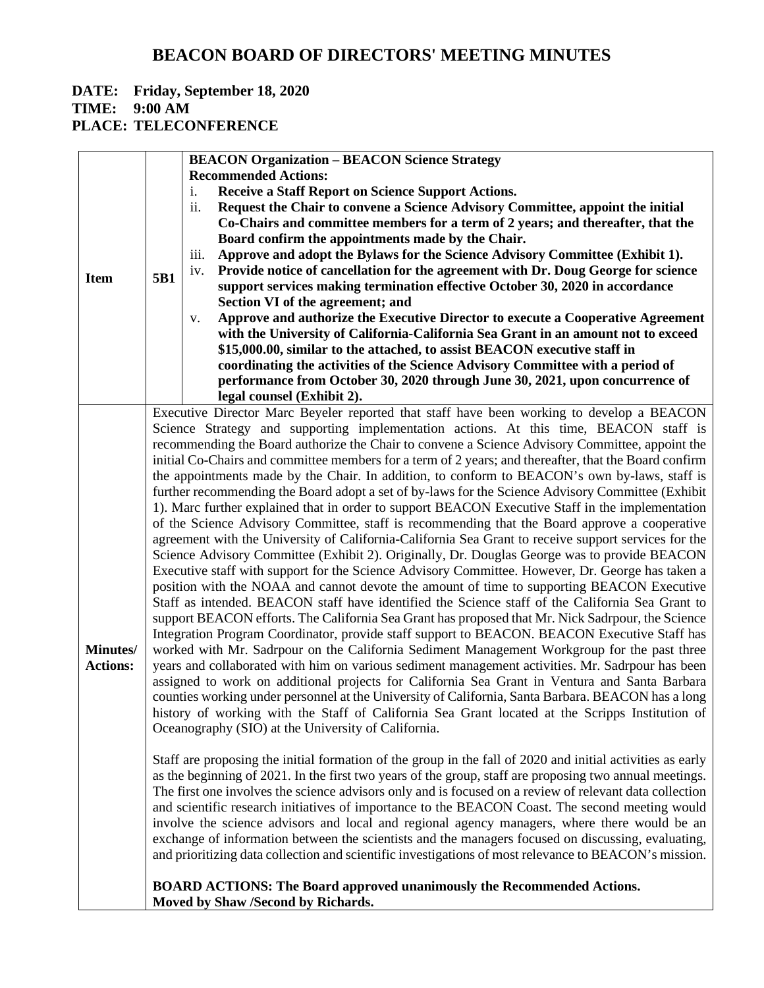#### **DATE: Friday, September 18, 2020 TIME: 9:00 AM**

**PLACE: TELECONFERENCE**

|                 |                                                                                                       | <b>BEACON Organization - BEACON Science Strategy</b>                                                       |  |
|-----------------|-------------------------------------------------------------------------------------------------------|------------------------------------------------------------------------------------------------------------|--|
|                 |                                                                                                       | <b>Recommended Actions:</b>                                                                                |  |
|                 |                                                                                                       | Receive a Staff Report on Science Support Actions.<br>i.                                                   |  |
|                 |                                                                                                       | Request the Chair to convene a Science Advisory Committee, appoint the initial<br>ii.                      |  |
|                 |                                                                                                       | Co-Chairs and committee members for a term of 2 years; and thereafter, that the                            |  |
|                 |                                                                                                       | Board confirm the appointments made by the Chair.                                                          |  |
|                 |                                                                                                       | Approve and adopt the Bylaws for the Science Advisory Committee (Exhibit 1).<br>iii.                       |  |
|                 |                                                                                                       | Provide notice of cancellation for the agreement with Dr. Doug George for science<br>iv.                   |  |
| <b>Item</b>     | 5B1                                                                                                   | support services making termination effective October 30, 2020 in accordance                               |  |
|                 |                                                                                                       | Section VI of the agreement; and                                                                           |  |
|                 |                                                                                                       | Approve and authorize the Executive Director to execute a Cooperative Agreement<br>V.                      |  |
|                 |                                                                                                       | with the University of California-California Sea Grant in an amount not to exceed                          |  |
|                 |                                                                                                       | \$15,000.00, similar to the attached, to assist BEACON executive staff in                                  |  |
|                 |                                                                                                       | coordinating the activities of the Science Advisory Committee with a period of                             |  |
|                 |                                                                                                       | performance from October 30, 2020 through June 30, 2021, upon concurrence of                               |  |
|                 |                                                                                                       | legal counsel (Exhibit 2).                                                                                 |  |
|                 |                                                                                                       | Executive Director Marc Beyeler reported that staff have been working to develop a BEACON                  |  |
|                 |                                                                                                       | Science Strategy and supporting implementation actions. At this time, BEACON staff is                      |  |
|                 |                                                                                                       | recommending the Board authorize the Chair to convene a Science Advisory Committee, appoint the            |  |
|                 | initial Co-Chairs and committee members for a term of 2 years; and thereafter, that the Board confirm |                                                                                                            |  |
|                 | the appointments made by the Chair. In addition, to conform to BEACON's own by-laws, staff is         |                                                                                                            |  |
|                 |                                                                                                       | further recommending the Board adopt a set of by-laws for the Science Advisory Committee (Exhibit          |  |
|                 | 1). Marc further explained that in order to support BEACON Executive Staff in the implementation      |                                                                                                            |  |
|                 |                                                                                                       | of the Science Advisory Committee, staff is recommending that the Board approve a cooperative              |  |
|                 |                                                                                                       | agreement with the University of California-California Sea Grant to receive support services for the       |  |
|                 |                                                                                                       | Science Advisory Committee (Exhibit 2). Originally, Dr. Douglas George was to provide BEACON               |  |
|                 |                                                                                                       | Executive staff with support for the Science Advisory Committee. However, Dr. George has taken a           |  |
|                 |                                                                                                       | position with the NOAA and cannot devote the amount of time to supporting BEACON Executive                 |  |
|                 |                                                                                                       | Staff as intended. BEACON staff have identified the Science staff of the California Sea Grant to           |  |
|                 |                                                                                                       | support BEACON efforts. The California Sea Grant has proposed that Mr. Nick Sadrpour, the Science          |  |
|                 |                                                                                                       |                                                                                                            |  |
| Minutes/        |                                                                                                       | Integration Program Coordinator, provide staff support to BEACON. BEACON Executive Staff has               |  |
|                 |                                                                                                       | worked with Mr. Sadrpour on the California Sediment Management Workgroup for the past three                |  |
| <b>Actions:</b> |                                                                                                       | years and collaborated with him on various sediment management activities. Mr. Sadrpour has been           |  |
|                 |                                                                                                       | assigned to work on additional projects for California Sea Grant in Ventura and Santa Barbara              |  |
|                 |                                                                                                       | counties working under personnel at the University of California, Santa Barbara. BEACON has a long         |  |
|                 | history of working with the Staff of California Sea Grant located at the Scripps Institution of       |                                                                                                            |  |
|                 |                                                                                                       | Oceanography (SIO) at the University of California.                                                        |  |
|                 |                                                                                                       |                                                                                                            |  |
|                 |                                                                                                       | Staff are proposing the initial formation of the group in the fall of 2020 and initial activities as early |  |
|                 |                                                                                                       | as the beginning of 2021. In the first two years of the group, staff are proposing two annual meetings.    |  |
|                 |                                                                                                       | The first one involves the science advisors only and is focused on a review of relevant data collection    |  |
|                 |                                                                                                       | and scientific research initiatives of importance to the BEACON Coast. The second meeting would            |  |
|                 |                                                                                                       | involve the science advisors and local and regional agency managers, where there would be an               |  |
|                 |                                                                                                       | exchange of information between the scientists and the managers focused on discussing, evaluating,         |  |
|                 |                                                                                                       | and prioritizing data collection and scientific investigations of most relevance to BEACON's mission.      |  |
|                 |                                                                                                       |                                                                                                            |  |
|                 |                                                                                                       | <b>BOARD ACTIONS: The Board approved unanimously the Recommended Actions.</b>                              |  |
|                 |                                                                                                       | Moved by Shaw /Second by Richards.                                                                         |  |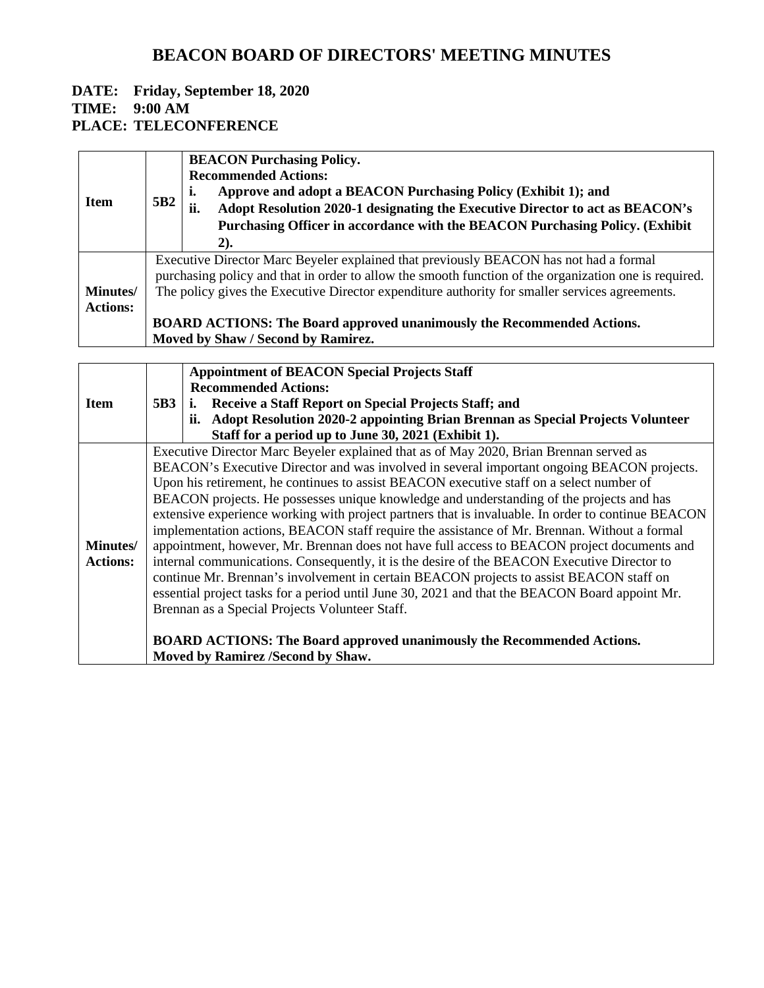#### **DATE: Friday, September 18, 2020 TIME: 9:00 AM PLACE: TELECONFERENCE**

|                 |                 | <b>BEACON Purchasing Policy.</b>                                                                      |
|-----------------|-----------------|-------------------------------------------------------------------------------------------------------|
|                 |                 | <b>Recommended Actions:</b>                                                                           |
| <b>Item</b>     | 5B <sub>2</sub> | Approve and adopt a BEACON Purchasing Policy (Exhibit 1); and<br>ı.                                   |
|                 |                 | Adopt Resolution 2020-1 designating the Executive Director to act as BEACON's<br>ii.                  |
|                 |                 | Purchasing Officer in accordance with the BEACON Purchasing Policy. (Exhibit                          |
|                 |                 | 2).                                                                                                   |
|                 |                 | Executive Director Marc Beyeler explained that previously BEACON has not had a formal                 |
|                 |                 | purchasing policy and that in order to allow the smooth function of the organization one is required. |
| <b>Minutes/</b> |                 | The policy gives the Executive Director expenditure authority for smaller services agreements.        |
| <b>Actions:</b> |                 |                                                                                                       |
|                 |                 | <b>BOARD ACTIONS: The Board approved unanimously the Recommended Actions.</b>                         |
|                 |                 | Moved by Shaw / Second by Ramirez.                                                                    |

|                 |                                                                                          | <b>Appointment of BEACON Special Projects Staff</b>                                                |  |
|-----------------|------------------------------------------------------------------------------------------|----------------------------------------------------------------------------------------------------|--|
|                 |                                                                                          | <b>Recommended Actions:</b>                                                                        |  |
| <b>Item</b>     | 5B3                                                                                      | i. Receive a Staff Report on Special Projects Staff; and                                           |  |
|                 |                                                                                          | ii. Adopt Resolution 2020-2 appointing Brian Brennan as Special Projects Volunteer                 |  |
|                 |                                                                                          | Staff for a period up to June 30, 2021 (Exhibit 1).                                                |  |
|                 |                                                                                          | Executive Director Marc Beyeler explained that as of May 2020, Brian Brennan served as             |  |
|                 |                                                                                          | BEACON's Executive Director and was involved in several important ongoing BEACON projects.         |  |
|                 |                                                                                          | Upon his retirement, he continues to assist BEACON executive staff on a select number of           |  |
|                 | BEACON projects. He possesses unique knowledge and understanding of the projects and has |                                                                                                    |  |
|                 |                                                                                          | extensive experience working with project partners that is invaluable. In order to continue BEACON |  |
|                 |                                                                                          | implementation actions, BEACON staff require the assistance of Mr. Brennan. Without a formal       |  |
| <b>Minutes/</b> |                                                                                          | appointment, however, Mr. Brennan does not have full access to BEACON project documents and        |  |
| <b>Actions:</b> |                                                                                          | internal communications. Consequently, it is the desire of the BEACON Executive Director to        |  |
|                 |                                                                                          | continue Mr. Brennan's involvement in certain BEACON projects to assist BEACON staff on            |  |
|                 |                                                                                          | essential project tasks for a period until June 30, 2021 and that the BEACON Board appoint Mr.     |  |
|                 |                                                                                          | Brennan as a Special Projects Volunteer Staff.                                                     |  |
|                 |                                                                                          |                                                                                                    |  |
|                 | <b>BOARD ACTIONS: The Board approved unanimously the Recommended Actions.</b>            |                                                                                                    |  |
|                 |                                                                                          | Moved by Ramirez /Second by Shaw.                                                                  |  |